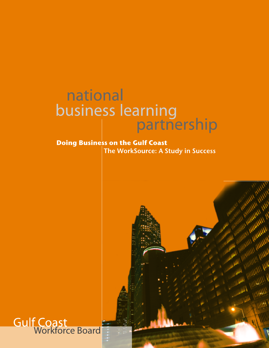# national business learning<br>
| partnership

### **Doing Business on the Gulf Coast** The WorkSource: A Study in Success



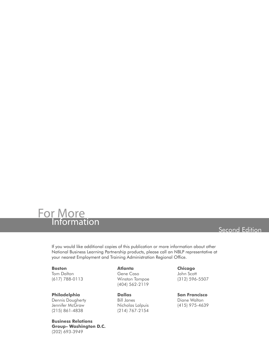

### Second Edition

If you would like additional copies of this publication or more information about other National Business Learning Partnership products, please call an NBLP representative at your nearest Employment and Training Administration Regional Office.

**Boston** Tom Dalton (617) 788-0113

**Philadelphia** Dennis Dougherty Jennifer McGraw (215) 861-4838

**Business Relations Group- Washington D.C.** (202) 693-3949

**Atlanta**

Gene Caso Winston Tompoe (404) 562-2119

**Dallas** Bill Janes Nicholas Lalpuis (214) 767-2154

**Chicago** John Scott (312) 596-5507

**San Francisco** Diane Walton (415) 975-4639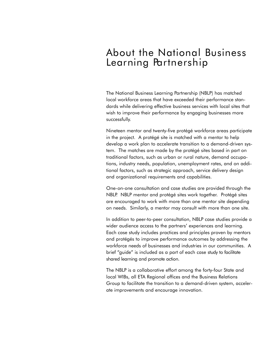### About the National Business Learning Partnership

The National Business Learning Partnership (NBLP) has matched local workforce areas that have exceeded their performance standards while delivering effective business services with local sites that wish to improve their performance by engaging businesses more successfully.

Nineteen mentor and twenty-five protégé workforce areas participate in the project. A protégé site is matched with a mentor to help develop a work plan to accelerate transition to a demand-driven system. The matches are made by the protégé sites based in part on traditional factors, such as urban or rural nature, demand occupations, industry needs, population, unemployment rates, and on additional factors, such as strategic approach, service delivery design and organizational requirements and capabilities.

One-on-one consultation and case studies are provided through the NBLP. NBLP mentor and protégé sites work together. Protégé sites are encouraged to work with more than one mentor site depending on needs. Similarly, a mentor may consult with more than one site.

In addition to peer-to-peer consultation, NBLP case studies provide a wider audience access to the partners' experiences and learning. Each case study includes practices and principles proven by mentors and protégés to improve performance outcomes by addressing the workforce needs of businesses and industries in our communities. A brief "guide" is included as a part of each case study to facilitate shared learning and promote action.

The NBLP is a collaborative effort among the forty-four State and local WIBs, all ETA Regional offices and the Business Relations Group to facilitate the transition to a demand-driven system, accelerate improvements and encourage innovation.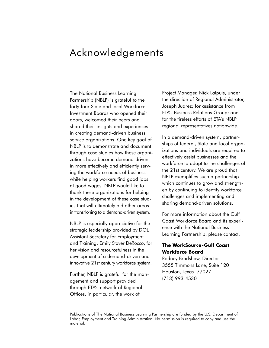### Acknowledgements

The National Business Learning Partnership (NBLP) is grateful to the forty-four State and local Workforce Investment Boards who opened their doors, welcomed their peers and shared their insights and experiences in creating demand-driven business service organizations. One key goal of NBLP is to demonstrate and document through case studies how these organizations have become demand-driven in more effectively and efficiently serving the workforce needs of business while helping workers find good jobs at good wages. NBLP would like to thank these organizations for helping in the development of these case studies that will ultimately aid other areas in transitioning to a demand-driven system.

NBLP is especially appreciative for the strategic leadership provided by DOL Assistant Secretary for Employment and Training, Emily Stover DeRocco, for her vision and resourcefulness in the development of a demand-driven and innovative 21st century workforce system.

Further, NBLP is grateful for the management and support provided through ETA's network of Regional Offices, in particular, the work of

Project Manager, Nick Lalpuis, under the direction of Regional Administrator, Joseph Juarez; for assistance from ETA's Business Relations Group; and for the tireless efforts of ETA's NBLP regional representatives nationwide.

In a demand-driven system, partnerships of federal, State and local organizations and individuals are required to effectively assist businesses and the workforce to adapt to the challenges of the 21st century. We are proud that NBLP exemplifies such a partnership which continues to grow and strengthen by continuing to identify workforce challenges and implementing and sharing demand-driven solutions.

For more information about the Gulf Coast Workforce Board and its experience with the National Business Learning Partnership, please contact:

#### **The WorkSource-Gulf Coast Workforce Board**

Rodney Bradshaw, Director 3555 Timmons Lane, Suite 120 Houston, Texas 77027 (713) 993-4530

Publications of The National Business Learning Partnership are funded by the U.S. Department of Labor, Employment and Training Administration. No permission is required to copy and use the material.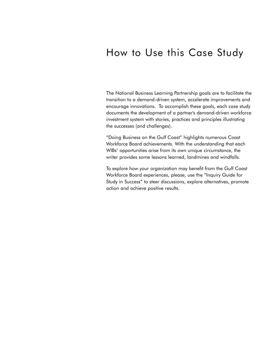### How to Use this Case Study

The National Business Learning Partnership goals are to facilitate the transition to a demand-driven system, accelerate improvements and encourage innovations. To accomplish these goals, each case study documents the development of a partner's demand-driven workforce investment system with stories, practices and principles illustrating the successes (and challenges).

"Doing Business on the Gulf Coast" highlights numerous Coast Workforce Board achievements. With the understanding that each WIBs' opportunities arise from its own unique circumstance, the writer provides some lessons learned, landmines and windfalls.

To explore how your organization may benefit from the Gulf Coast Workforce Board experiences, please, use the "Inquiry Guide for Study in Success" to steer discussions, explore alternatives, promote action and achieve positive results.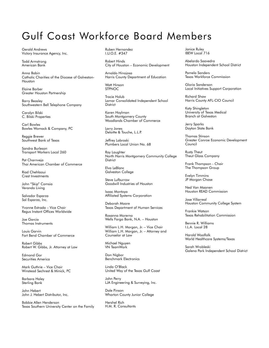### Gulf Coast Workforce Board Members

Gerald Andrews Victory Insurance Agency, Inc.

Todd Armstrong American Bank

Anna Babin Catholic Charities of the Diocese of Galveston-Houston

Elaine Barber Greater Houston Partnership

Barry Beasley Southwestern Bell Telephone Company

Carolyn Bilski C. Bilski Properties

Carl Bowles Bowles Womack & Company, PC

Reggie Brewer Southwest Bank of Texas

Sandra Burleson Transport Workers Local 260

Pat Charnveja Thai American Chamber of Commerce

Riad Chehlaoui Crest Investments

John "Skip" Comsia Veranda Living

Salvador Esparza Sal Esparza, Inc.

Yvonne Estrada – Vice Chair Regus Instant Offices Worldwide

Joe Garcia Thomas Instruments

Louis Garvin Fort Bend Chamber of Commerce

Robert Gibbs Robert W. Gibbs, Jr. Attorney at Law

Edmond Gor Securities America

Mark Guthrie – Vice Chair Winstead Sechrest & Minick, PC

Barbara Haley Sterling Bank

John Hebert John J. Hebert Distributor, Inc.

Bobbie Allen Henderson Texas Southern University Center on the Family

Ruben Hernandez I.U.O.E. #347

Robert Hinds City of Houston – Economic Development

Arnaldo Hinojosa Harris County Department of Education

Watt Hinson **STPNOC** 

Tracie Holub Lamar Consolidated Independent School **District** 

Karen Hoylman South Montgomery County Woodlands Chamber of Commerce

Larry Jones Deloitte & Touche, L.L.P.

Jeffrey Labroski Plumbers Local Union No. 68

Ray Laughter North Harris Montgomery Community College **District** 

Elva LeBlanc Galveston College

Steve Lufburrow Goodwill Industries of Houston

Isaac Montoya Affiliated Systems Corporation

Deborah Moore Texas Department of Human Services

Rosanna Morerno Wells Fargo Bank, N.A. – Houston

William L.H. Morgan, Jr. - Vice Chair William L.H. Morgan, Jr. – Attorney and Counselor at Law

Michael Nguyen VN TeamWork

Don Nigbor Benchmark Electronics

Linda O'Black United Way of the Texas Gulf Coast

John Perry LJA Engineering & Surveying, Inc.

Dale Pinson Wharton County Junior College

Hershel Rich H.M. R. Consultants Janice Ruley IBEW Local 716

Abelardo Saavedra Houston Independent School District

Pamela Sanders Texas Workforce Commission

Gloria Sanderson Local Initiatives Support Corporation

Richard Shaw Harris County AFL-CIO Council

Katy Shingleton University of Texas Medical Branch at Galveston

Jerry Sparks Dayton State Bank

Thomas Stinson Greater Conroe Economic Development Council

Rusty Theut Theut Glass Company

Frank Thompson - Chair The Thompson Group

Evelyn Timmins JP Morgan Chase

Ned Van Maanen Houston READ Commission

Jose Villarreal Houston Community College System

Frankie Watson Texas Rehabilitation Commission

Bennie R. Williams I.L.A. Local 28

Harold Woolfolk World Healthcare Systems/Texas

Sarah Wrobleski Galena Park Independent School District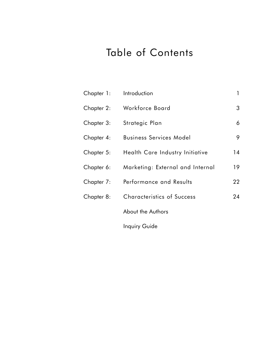## Table of Contents

| Chapter 1: | Introduction                      | $\mathbf{1}$ |
|------------|-----------------------------------|--------------|
| Chapter 2: | Workforce Board                   | 3            |
| Chapter 3: | Strategic Plan                    | 6            |
| Chapter 4: | <b>Business Services Model</b>    | 9            |
| Chapter 5: | Health Care Industry Initiative   | 14           |
| Chapter 6: | Marketing: External and Internal  | 19           |
| Chapter 7: | Performance and Results           | 22           |
| Chapter 8: | <b>Characteristics of Success</b> | 24           |
|            | About the Authors                 |              |
|            | Inquiry Guide                     |              |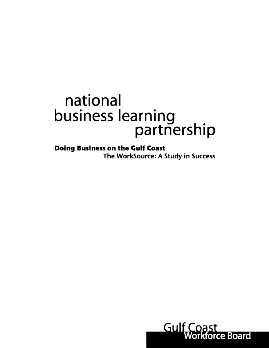# national business learning partnership

**Doing Business on the Gulf Coast** The WorkSource: A Study in Success

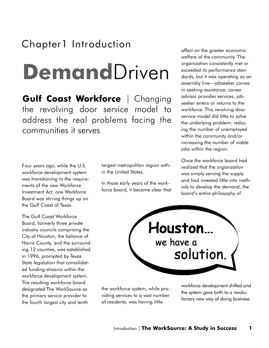## Chapter1 Introduction

# **Demand**Driven

**Gulf Coast Workforce** | Changing the revolving door service model to address the real problems facing the communities it serves

Four years ago, while the U.S. workforce development system was transitioning to the requirements of the new Workforce Investment Act, one Workforce Board was stirring things up on the Gulf Coast of Texas.

The Gulf Coast Workforce Board, formerly three private industry councils comprising the City of Houston, the balance of Harris County, and the surrounding 12 counties, was established in 1996, prompted by Texas State legislation that consolidated funding streams within the workforce development system. The resulting workforce board designated The WorkSource as the primary service provider to the fourth largest city and tenth

largest metropolitan region within the United States.

In those early years of the workforce board, it became clear that affect on the greater economic welfare of the community. The organization consistently met or exceeded its performance standards, but it was operating as an assembly line—jobseeker comes in seeking assistance, career advisor provides services, jobseeker enters or returns to the workforce. This revolving door service model did little to solve the underlying problem: reducing the number of unemployed within the community and/or increasing the number of viable jobs within the region.

Once the workforce board had realized that the organization was simply serving the supply and had invested little into methods to develop the demand, the board's entire philosophy of



the workforce system, while providing services to a vast number of residents, was having little

workforce development shifted and the system gave birth to a revolutionary new way of doing business.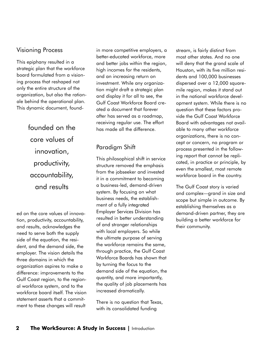#### Visioning Process

This epiphany resulted in a strategic plan that the workforce board formulated from a visioning process that reshaped not only the entire structure of the organization, but also the rationale behind the operational plan. This dynamic document, found-

> founded on the core values of innovation, productivity, accountability, and results

ed on the core values of innovation, productivity, accountability, and results, acknowledges the need to serve both the supply side of the equation, the resident, and the demand side, the employer. The vision details the three domains in which the organization aspires to make a difference: improvements to the Gulf Coast region, to the regional workforce system, and to the workforce board itself. The vision statement asserts that a commitment to these changes will result

in more competitive employers, a better-educated workforce, more and better jobs within the region, high incomes for the residents, and an increasing return on investment. While any organization might draft a strategic plan and display it for all to see, the Gulf Coast Workforce Board created a document that forever after has served as a roadmap, receiving regular use. The effort has made all the difference.

### Paradigm Shift

This philosophical shift in service structure removed the emphasis from the jobseeker and invested it in a commitment to becoming a business-led, demand-driven system. By focusing on what business needs, the establishment of a fully integrated Employer Services Division has resulted in better understanding of and stronger relationships with local employers. So while the ultimate purpose of serving the workforce remains the same, through practice, the Gulf Coast Workforce Boards has shown that by turning the focus to the demand side of the equation, the quantity, and more importantly, the quality of job placements has increased dramatically.

There is no question that Texas, with its consolidated funding

stream, is fairly distinct from most other states. And no one will deny that the grand scale of Houston, with its five million residents and 100,000 businesses dispersed over a 12,000 squaremile region, makes it stand out in the national workforce development system. While there is no question that these factors provide the Gulf Coast Workforce Board with advantages not available to many other workforce organizations, there is no concept or concern, no program or process presented in the following report that cannot be replicated, in practice or principle, by even the smallest, most remote workforce board in the country.

The Gulf Coast story is varied and complex—grand in size and scope but simple in outcome. By establishing themselves as a demand-driven partner, they are building a better workforce for their community.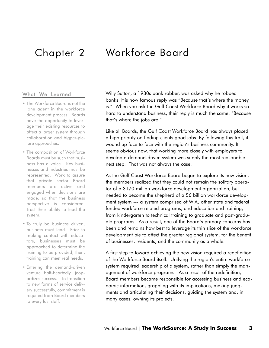### Chapter 2 Workforce Board

#### What We Learned

- The Workforce Board is not the lone agent in the workforce development process. Boards have the opportunity to leverage their existing resources to affect a larger system through collaboration and bigger-picture approaches.
- The composition of Workforce Boards must be such that business has a voice. Key businesses and industries must be represented. Work to assure that private sector Board members are active and engaged when decisions are made, so that the business perspective is considered. Trust their ability to lead the system.
- To truly be business driven, business must lead. Prior to making contact with educators, businesses must be approached to determine the training to be provided; then, training can meet real needs.
- Entering the demand-driven venture half-heartedly, jeopardizes success. To transition to new forms of service delivery successfully, commitment is required from Board members to every last staff.

Willy Sutton, a 1930s bank robber, was asked why he robbed banks. His now famous reply was "Because that's where the money is." When you ask the Gulf Coast Workforce Board why it works so hard to understand business, their reply is much the same: "Because that's where the jobs are."

Like all Boards, the Gulf Coast Workforce Board has always placed a high priority on finding clients good jobs. By following this trail, it wound up face to face with the region's business community. It seems obvious now, that working more closely with employers to develop a demand-driven system was simply the most reasonable next step. That was not always the case.

As the Gulf Coast Workforce Board began to explore its new vision, the members realized that they could not remain the solitary operator of a \$170 million workforce development organization, but needed to become the shepherd of a \$6 billion workforce development system --- a system comprised of WIA, other state and federal funded workforce related programs, and education and training, from kindergarten to technical training to graduate and post-graduate programs. As a result, one of the Board's primary concerns has been and remains how best to leverage its thin slice of the workforce development pie to affect the greater regional system, for the benefit of businesses, residents, and the community as a whole.

A first step to toward achieving the new vision required a redefinition of the Workforce Board itself. Unifying the region's entire workforce system required leadership of a system, rather than simply the management of workforce programs. As a result of the redefinition, Board members became responsible for accessing business and economic information, grappling with its implications, making judgments and articulating their decisions, guiding the system and, in many cases, owning its projects.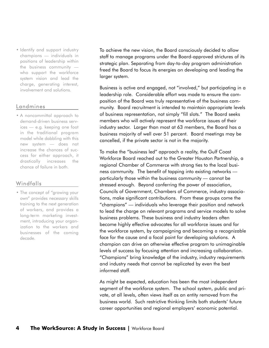• Identify and support industry champions — individuals in positions of leadership within the business community who support the workforce system vision and lead the charge, generating interest, involvement and solutions.

#### Landmines

• A noncommittal approach to demand-driven business services — e.g. keeping one foot in the traditional program model while dabbling with this new system — does not increase the chances of success for either approach, it drastically increases the chance of failure in both.

#### Windfalls

• The concept of "growing your own" provides necessary skills training to the next generation of workers, and provides a long-term marketing investment, introducing your organization to the workers and businesses of the coming decade.

To achieve the new vision, the Board consciously decided to allow staff to manage programs under the Board-approved strictures of its strategic plan. Separating from day-to-day program administration freed the Board to focus its energies on developing and leading the larger system.

Business is active and engaged, not "involved," but participating in a leadership role. Considerable effort was made to ensure the composition of the Board was truly representative of the business community. Board recruitment is intended to maintain appropriate levels of business representation, not simply "fill slots." The Board seeks members who will actively represent the workforce issues of their industry sector. Larger than most at 63 members, the Board has a business majority of well over 51 percent. Board meetings may be cancelled, if the private sector is not in the majority.

To make the "business led" approach a reality, the Gulf Coast Workforce Board reached out to the Greater Houston Partnership, a regional Chamber of Commerce with strong ties to the local business community. The benefit of tapping into existing networks particularly those within the business community — cannot be stressed enough. Beyond conferring the power of association, Councils of Government, Chambers of Commerce, industry associations, make significant contributions. From these groups come the "champions" — individuals who leverage their position and network to lead the charge on relevant programs and service models to solve business problems. These business and industry leaders often become highly effective advocates for all workforce issues and for the workforce system, by campaigning and becoming a recognizable face for the cause and a focal point for developing solutions. A champion can drive an otherwise effective program to unimaginable levels of success by focusing attention and increasing collaboration. "Champions" bring knowledge of the industry, industry requirements and industry needs that cannot be replicated by even the best informed staff.

As might be expected, education has been the most independent segment of the workforce system. The school system, public and private, at all levels, often views itself as an entity removed from the business world. Such restrictive thinking limits both students' future career opportunities and regional employers' economic potential.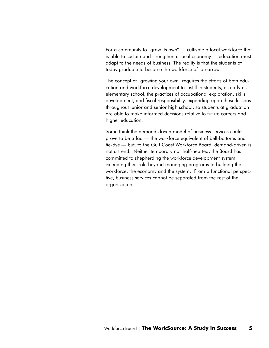For a community to "grow its own" — cultivate a local workforce that is able to sustain and strengthen a local economy — education must adapt to the needs of business. The reality is that the students of today graduate to become the workforce of tomorrow.

The concept of "growing your own" requires the efforts of both education and workforce development to instill in students, as early as elementary school, the practices of occupational exploration, skills development, and fiscal responsibility, expanding upon these lessons throughout junior and senior high school, so students at graduation are able to make informed decisions relative to future careers and higher education.

Some think the demand-driven model of business services could prove to be a fad — the workforce equivalent of bell-bottoms and tie-dye — but, to the Gulf Coast Workforce Board, demand-driven is not a trend. Neither temporary nor half-hearted, the Board has committed to shepherding the workforce development system, extending their role beyond managing programs to building the workforce, the economy and the system. From a functional perspective, business services cannot be separated from the rest of the organization.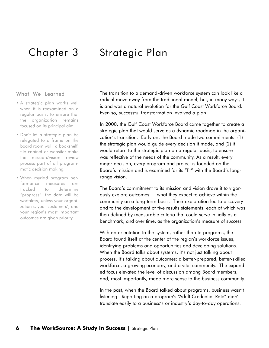### Chapter 3 Strategic Plan

#### What We Learned

- A strategic plan works well when it is reexamined on a regular basis, to ensure that the organization remains focused on its principal aim.
- Don't let a strategic plan be relegated to a frame on the board room wall, a bookshelf, file cabinet or website; make the mission/vision review process part of all programmatic decision making.
- When myriad program performance measures are tracked to determine "progress", the data will be worthless, unless your organization's, your customers', and your region's most important outcomes are given priority.

The transition to a demand-driven workforce system can look like a radical move away from the traditional model, but, in many ways, it is and was a natural evolution for the Gulf Coast Workforce Board. Even so, successful transformation involved a plan.

In 2000, the Gulf Coast Workforce Board came together to create a strategic plan that would serve as a dynamic roadmap in the organization's transition. Early on, the Board made two commitments: (1) the strategic plan would guide every decision it made, and (2) it would return to the strategic plan on a regular basis, to ensure it was reflective of the needs of the community. As a result, every major decision, every program and project is founded on the Board's mission and is examined for its "fit" with the Board's longrange vision.

The Board's commitment to its mission and vision drove it to vigorously explore outcomes — what they expect to achieve within the community on a long-term basis. Their exploration led to discovery and to the development of five results statements, each of which was then defined by measurable criteria that could serve initially as a benchmark, and over time, as the organization's measure of success.

With an orientation to the system, rather than to programs, the Board found itself at the center of the region's workforce issues, identifying problems and opportunities and developing solutions. When the Board talks about systems, it's not just talking about process, it's talking about outcomes: a better-prepared, better-skilled workforce, a growing economy, and a vital community. The expanded focus elevated the level of discussion among Board members, and, most importantly, made more sense to the business community.

In the past, when the Board talked about programs, business wasn't listening. Reporting on a program's "Adult Credential Rate" didn't translate easily to a business's or industry's day-to-day operations.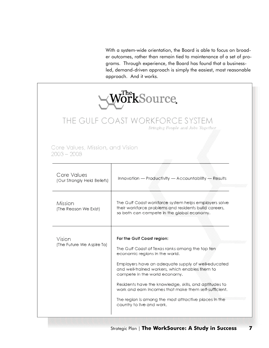With a system-wide orientation, the Board is able to focus on broader outcomes, rather than remain tied to maintenance of a set of programs. Through experience, the Board has found that a businessled, demand-driven approach is simply the easiest, most reasonable approach. And it works.

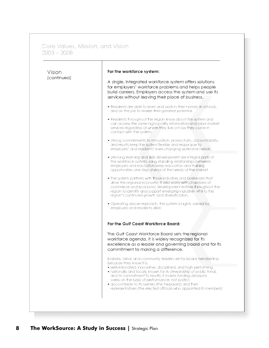Core Values, Mission, and Vision<br>2003 – 2008

| Vision      | For the workforce system:                                                                                                                                                                                                                                                                                                                                                                                      |
|-------------|----------------------------------------------------------------------------------------------------------------------------------------------------------------------------------------------------------------------------------------------------------------------------------------------------------------------------------------------------------------------------------------------------------------|
| (continued) | A single, integrated workforce system offers solutions<br>for employers' workforce problems and helps people<br>build careers. Employers access the system and use its                                                                                                                                                                                                                                         |
|             | services without leaving their place of business.                                                                                                                                                                                                                                                                                                                                                              |
|             | • Residents are able to learn and work in their homes.iff(ischools,<br>and on the job to realize their greatest potential.                                                                                                                                                                                                                                                                                     |
|             | • Residents throughout the region know about the system and<br>can access the same high-quality information@highabor market<br>services regardless of where they tive or how they come in<br>contact with the system.                                                                                                                                                                                          |
|             | . Strong commitments talkinovation, productivity, accountability,<br>and results keep the system flexible and responsive for<br>employers' and residents' ever-changing workforce needs.                                                                                                                                                                                                                       |
|             | · Life-long learning and skills development are integral parts of<br>the workforce system, Long-standing relationships between<br>employers and educators keep education and training<br>opportunities one step ahead of the needs of the market.                                                                                                                                                              |
|             | . The system partners with #sase industries and biosinesses that<br>drive the regional economy. If also works with chambers of<br>commerce and economic development entities throughout the<br>region to identify and support emerging industries situato the<br>region's continued growth and diversification.                                                                                                |
|             | • Operating above reproach, the system is highly valued top<br>employers and residents alike.                                                                                                                                                                                                                                                                                                                  |
|             | For the Gulf Coast Workforce Board:                                                                                                                                                                                                                                                                                                                                                                            |
|             | The Guif Coast Workforce Board sets the regional<br>workforce agenda. It is widely recognized for its<br>excellence as a leader and governing board and for its<br>commitment to making a difference.                                                                                                                                                                                                          |
|             | Business, labor, and community leaders vie for board membership                                                                                                                                                                                                                                                                                                                                                |
|             | because they know it is:<br>· well-educated, innovative, disciplined, and high-performing<br>. nationally and locally known for its stewardship of public funds<br>and its commitment to results; it makes funding decisions<br>solely on the basis of performance, not politics<br>· accountable to its owners (the taxpayers) and their<br>representatives (the elected officials who appointed its members) |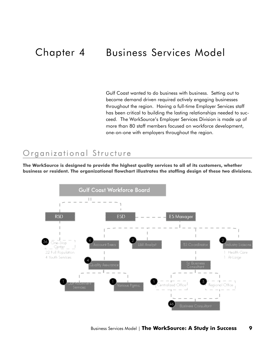### Chapter 4 Business Services Model

Gulf Coast wanted to do business with business. Setting out to become demand driven required actively engaging businesses throughout the region. Having a full-time Employer Services staff has been critical to building the lasting relationships needed to succeed. The WorkSource's Employer Services Division is made up of more than 80 staff members focused on workforce development, one-on-one with employers throughout the region.

### Organizational Structure

**The WorkSource is designed to provide the highest quality services to all of its customers, whether business or resident. The organizational flowchart illustrates the staffing design of these two divisions.**

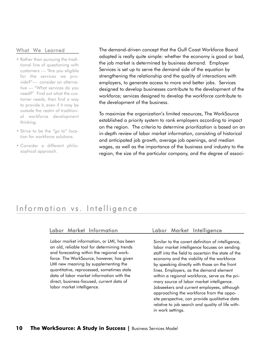#### What We Learned

- Rather than pursuing the traditional line of questioning with customers — "Are you eligible for the services we provide?"— consider an alternative — "What services do you need?" Find out what the customer needs, then find a way to provide it, even if it may be outside the realm of traditional workforce development thinking.
- Strive to be the "go to" location for workforce solutions.
- Consider a different philosophical approach.

The demand-driven concept that the Gulf Coast Workforce Board adopted is really quite simple: whether the economy is good or bad, the job market is determined by business demand. Employer Services is set up to serve the demand side of the equation by strengthening the relationship and the quality of interactions with employers, to generate access to more and better jobs. Services designed to develop businesses contribute to the development of the workforce; services designed to develop the workforce contribute to the development of the business.

To maximize the organization's limited resources, The WorkSource established a priority system to rank employers according to impact on the region. The criteria to determine prioritization is based on an in-depth review of labor market information, consisting of historical and anticipated job growth, average job openings, and median wages, as well as the importance of the business and industry to the region, the size of the particular company, and the degree of associ-

### Information vs. Intelligence

Labor market information, or LMI, has been an old, reliable tool for determining trends and forecasting within the regional workforce. The WorkSource, however, has given LMI new meaning by supplementing the quantitative, reprocessed, sometimes stale data of labor market information with the direct, business-focused, current data of labor market intelligence.

#### Labor Market Information Labor Market Intelligence

Similar to the covert definition of intelligence, labor market intelligence focuses on sending staff into the field to ascertain the state of the economy and the viability of the workforce by speaking directly with those on the front lines. Employers, as the demand element within a regional workforce, serve as the primary source of labor market intelligence. Jobseekers and current employees, although approaching the workforce from the opposite perspective, can provide qualitative data relative to job search and quality of life within work settings.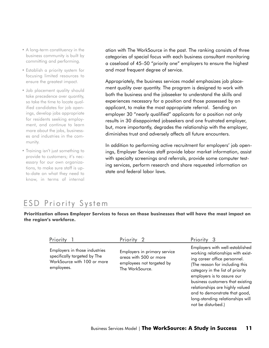- A long-term constituency in the business community is built by committing and performing.
- Establish a priority system for focusing limited resources to ensure the greatest impact.
- Job placement quality should take precedence over quantity, so take the time to locate qualified candidates for job openings, develop jobs appropriate for residents seeking employment, and continue to learn more about the jobs, businesses and industries in the community.
- Training isn't just something to provide to customers; it's necessary for our own organizations, to make sure staff is upto-date on what they need to know, in terms of internal

ation with The WorkSource in the past. The ranking consists of three categories of special focus with each business consultant monitoring a caseload of 45–50 "priority one" employers to ensure the highest and most frequent degree of service.

Appropriately, the business services model emphasizes job placement quality over quantity. The program is designed to work with both the business and the jobseeker to understand the skills and experiences necessary for a position and those possessed by an applicant, to make the most appropriate referral. Sending an employer 30 "nearly qualified" applicants for a position not only results in 30 disappointed jobseekers and one frustrated employer, but, more importantly, degrades the relationship with the employer, diminishes trust and adversely affects all future encounters.

In addition to performing active recruitment for employers' job openings, Employer Services staff provide labor market information, assist with specialty screenings and referrals, provide some computer testing services, perform research and share requested information on state and federal labor laws.

### ESD Priority System

**Prioritization allows Employer Services to focus on those businesses that will have the most impact on the region's workforce.** 

| Employers in those industries | Employers with well-established<br>working relationships with exist- |
|-------------------------------|----------------------------------------------------------------------|
| Employers in primary service  | ing career office personnel.                                         |
| specifically targeted by The  | (The reason for including this                                       |
| areas with 500 or more        | category in the list of priority                                     |
| WorkSource with 100 or more   | employers is to assure our                                           |
| employees not targeted by     | business customers that existing                                     |
| employees.                    | relationships are highly valued                                      |
| The WorkSource.               | and to demonstrate that good,                                        |
| not be disturbed.)            | long-standing relationships will                                     |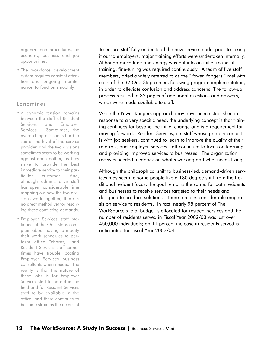organizational procedures, the economy, business and job opportunities.

• The workforce development system requires constant attention and ongoing maintenance, to function smoothly.

#### Landmines

- A dynamic tension remains between the staff of Resident Services and Employer Services. Sometimes, the overarching mission is hard to see at the level of the service provider, and the two divisions sometimes seem to be working against one another, as they strive to provide the best immediate service to their particular customer. And, although administrative staff has spent considerable time mapping out how the two divisions work together, there is no great method yet for resolving these conflicting demands.
- Employer Services staff stationed at the One-Stops complain about having to modify their work schedules to perform office "chores," and Resident Services staff sometimes have trouble locating Employer Services business consultants when needed. The reality is that the nature of these jobs is for Employer Services staff to be out in the field and for Resident Services staff to be available in the office, and there continues to be some strain as the details of

To ensure staff fully understood the new service model prior to taking it out to employers, major training efforts were undertaken internally. Although much time and energy was put into an initial round of training, fine-tuning was required continuously. A team of five staff members, affectionately referred to as the "Power Rangers," met with each of the 32 One-Stop centers following program implementation, in order to alleviate confusion and address concerns. The follow-up process resulted in 32 pages of additional questions and answers, which were made available to staff.

While the Power Rangers approach may have been established in response to a very specific need, the underlying concept is that training continues far beyond the initial change and is a requirement for moving forward. Resident Services, i.e. staff whose primary contact is with job seekers, continued to learn to improve the quality of their referrals, and Employer Services staff continued to focus on learning and providing improved services to businesses. The organization receives needed feedback on what's working and what needs fixing.

Although the philosophical shift to business-led, demand-driven services may seem to some people like a 180 degree shift from the traditional resident focus, the goal remains the same: for both residents and businesses to receive services targeted to their needs and designed to produce solutions. There remains considerable emphasis on service to residents. In fact, nearly 95 percent of The WorkSource's total budget is allocated for resident services and the number of residents served in Fiscal Year 2002/03 was just over 450,000 individuals; an 11 percent increase in residents served is anticipated for Fiscal Year 2003/04.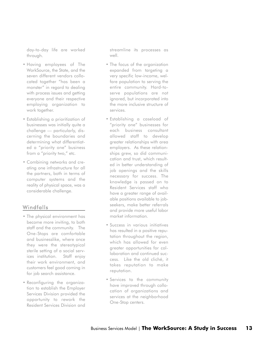day-to-day life are worked through.

- Having employees of The WorkSource, the State, and the seven different vendors collocated together "has been a monster" in regard to dealing with process issues and getting everyone and their respective employing organization to work together.
- Establishing a prioritization of businesses was initially quite a challenge — particularly, discerning the boundaries and determining what differentiated a "priority one" business from a "priority two," etc.
- Combining networks and creating one infrastructure for all the partners, both in terms of computer systems and the reality of physical space, was a considerable challenge.

#### Windfalls

- The physical environment has become more inviting, to both staff and the community. The One-Stops are comfortable and businesslike, where once they were the stereotypical sterile setting of a social services institution. Staff enjoy their work environment, and customers feel good coming in for job search assistance.
- Reconfiguring the organization to establish the Employer Services Division provided the opportunity to rework the Resident Services Division and

streamline its processes as well.

- The focus of the organization expanded from targeting a very specific low-income, welfare population to serving the entire community. Hard-toserve populations are not ignored, but incorporated into the more inclusive structure of services.
- Establishing a caseload of "priority one" businesses for each business consultant allowed staff to develop greater relationships with area employers. As these relationships grew, so did communication and trust, which resulted in better understanding of job openings and the skills necessary for success. The knowledge is passed on to Resident Services staff who have a greater range of available positions available to jobseekers, make better referrals and provide more useful labor market information.
- Success in various initiatives has resulted in a positive reputation throughout the region, which has allowed for even greater opportunities for collaboration and continued success. Like the old cliché, it takes reputation to make reputation.
- Services to the community have improved through collocation of organizations and services at the neighborhood One-Stop centers.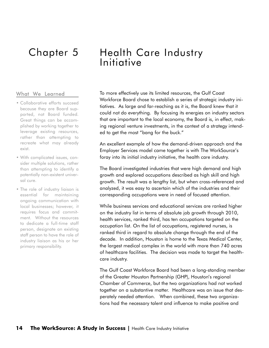### Chapter 5

#### What We Learned

- Collaborative efforts succeed because they are Board supported, not Board funded. Great things can be accomplished by working together to leverage existing resources, rather than attempting to recreate what may already exist.
- With complicated issues, consider multiple solutions, rather than attempting to identify a potentially non-existent universal cure.
- The role of industry liaison is essential for maintaining ongoing communication with local businesses; however, it requires focus and commitment. Without the resources to dedicate a full-time staff person, designate an existing staff person to have the role of industry liaison as his or her primary responsibility.

### Health Care Industry **Initiative**

To more effectively use its limited resources, the Gulf Coast Workforce Board chose to establish a series of strategic industry initiatives. As large and far-reaching as it is, the Board knew that it could not do everything. By focusing its energies on industry sectors that are important to the local economy, the Board is, in effect, making regional venture investments, in the context of a strategy intended to get the most "bang for the buck."

An excellent example of how the demand-driven approach and the Employer Services model came together is with The WorkSource's foray into its initial industry initiative, the health care industry.

The Board investigated industries that were high demand and high growth and explored occupations described as high skill and high growth. The result was a lengthy list, but when cross-referenced and analyzed, it was easy to ascertain which of the industries and their corresponding occupations were in need of focused attention.

While business services and educational services are ranked higher on the industry list in terms of absolute job growth through 2010, health services, ranked third, has ten occupations targeted on the occupation list. On the list of occupations, registered nurses, is ranked third in regard to absolute change through the end of the decade. In addition, Houston is home to the Texas Medical Center, the largest medical complex in the world with more than 740 acres of healthcare facilities. The decision was made to target the healthcare industry.

The Gulf Coast Workforce Board had been a long-standing member of the Greater Houston Partnership (GHP), Houston's regional Chamber of Commerce, but the two organizations had not worked together on a substantive matter. Healthcare was an issue that desperately needed attention. When combined, these two organizations had the necessary talent and influence to make positive and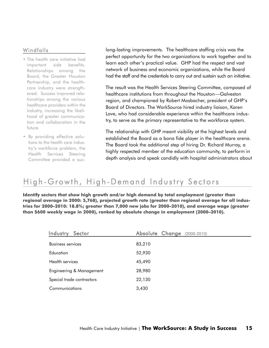#### Windfalls

- The health care initiative had important side benefits. Relationships among the Board, the Greater Houston Partnership, and the healthcare industry were strengthened. Success improved relationships among the various healthcare providers within the industry, increasing the likelihood of greater communication and collaboration in the future.
- By providing effective solutions to the health care industry's workforce problem, the Health Services Steering Committee provided a suc-

long-lasting improvements. The healthcare staffing crisis was the perfect opportunity for the two organizations to work together and to learn each other's practical value. GHP had the respect and vast network of business and economic organizations, while the Board had the staff and the credentials to carry out and sustain such an initiative.

The result was the Health Services Steering Committee, composed of healthcare institutions from throughout the Houston—Galveston region, and championed by Robert Mosbacher, president of GHP's Board of Directors. The WorkSource hired industry liaison, Karen Love, who had considerable experience within the healthcare industry, to serve as the primary representative to the workforce system.

The relationship with GHP meant visibility at the highest levels and established the Board as a bona fide player in the healthcare arena. The Board took the additional step of hiring Dr. Richard Murray, a highly respected member of the education community, to perform in depth analysis and speak candidly with hospital administrators about

### High-Growth, High-Demand Industry Sectors

**Identify sectors that show high growth and/or high demand by total employment (greater than regional average in 2000: 5,768), projected growth rate (greater than regional average for all industries for 2000–2010: 18.8%; greater than 7,000 new jobs for 2000–2010), and average wage (greater than \$600 weekly wage in 2000), ranked by absolute change in employment (2000–2010).**

| <b>Industry</b><br>Sector | Absolute Change (2000-2010) |  |
|---------------------------|-----------------------------|--|
| <b>Business services</b>  | 83,210                      |  |
| Education                 | 52,930                      |  |
| Health services           | 45,490                      |  |
| Engineering & Management  | 28,980                      |  |
| Special trade contractors | 22,130                      |  |
| Communications            | 3,430                       |  |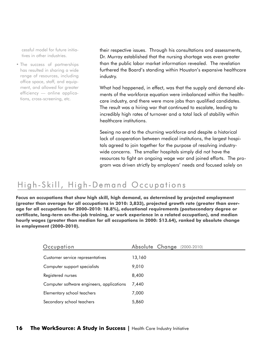cessful model for future initiatives in other industries.

• The success of partnerships has resulted in sharing a wide range of resources, including office space, staff, and equipment, and allowed for greater efficiency — online applications, cross-screening, etc.

their respective issues. Through his consultations and assessments, Dr. Murray established that the nursing shortage was even greater than the public labor market information revealed. The revelation furthered the Board's standing within Houston's expansive healthcare industry.

What had happened, in effect, was that the supply and demand elements of the workforce equation were imbalanced within the healthcare industry, and there were more jobs than qualified candidates. The result was a hiring war that continued to escalate, leading to incredibly high rates of turnover and a total lack of stability within healthcare institutions.

Seeing no end to the churning workforce and despite a historical lack of cooperation between medical institutions, the largest hospitals agreed to join together for the purpose of resolving industrywide concerns. The smaller hospitals simply did not have the resources to fight an ongoing wage war and joined efforts. The program was driven strictly by employers' needs and focused solely on

### High-Skill, High-Demand Occupations

**Focus on occupations that show high skill, high demand, as determined by projected employment (greater than average for all occupations in 2010: 3,833), projected growth rate (greater than average for all occupations for 2000–2010: 18.8%), educational requirements (postsecondary degree or certificate, long-term on-the-job training, or work experience in a related occupation), and median hourly wages (greater than median for all occupations in 2000: \$13.64), ranked by absolute change in employment (2000–2010).**

| Occupation                                | Absolute Change<br>$(2000 - 2010)$ |
|-------------------------------------------|------------------------------------|
| Customer service representatives          | 13,160                             |
| Computer support specialists              | 9,010                              |
| Registered nurses                         | 8,400                              |
| Computer software engineers, applications | 7.440                              |
| Elementary school teachers                | 7,000                              |
| Secondary school teachers                 | 5,860                              |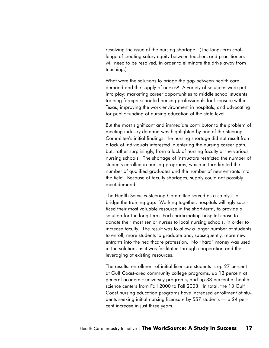resolving the issue of the nursing shortage. (The long-term challenge of creating salary equity between teachers and practitioners will need to be resolved, in order to eliminate the drive away from teaching.)

What were the solutions to bridge the gap between health care demand and the supply of nurses? A variety of solutions were put into play: marketing career opportunities to middle school students, training foreign-schooled nursing professionals for licensure within Texas, improving the work environment in hospitals, and advocating for public funding of nursing education at the state level.

But the most significant and immediate contributor to the problem of meeting industry demand was highlighted by one of the Steering Committee's initial findings: the nursing shortage did not result from a lack of individuals interested in entering the nursing career path, but, rather surprisingly, from a lack of nursing faculty at the various nursing schools. The shortage of instructors restricted the number of students enrolled in nursing programs, which in turn limited the number of qualified graduates and the number of new entrants into the field. Because of faculty shortages, supply could not possibly meet demand.

The Health Services Steering Committee served as a catalyst to bridge the training gap. Working together, hospitals willingly sacrificed their most valuable resource in the short-term, to provide a solution for the long-term. Each participating hospital chose to donate their most senior nurses to local nursing schools, in order to increase faculty. The result was to allow a larger number of students to enroll, more students to graduate and, subsequently, more new entrants into the healthcare profession. No "hard" money was used in the solution, as it was facilitated through cooperation and the leveraging of existing resources.

The results: enrollment of initial licensure students is up 27 percent at Gulf Coast-area community college programs, up 13 percent at general academic university programs, and up 33 percent at health science centers from Fall 2000 to Fall 2003. In total, the 13 Gulf Coast nursing education programs have increased enrollment of students seeking initial nursing licensure by 557 students — a 24 percent increase in just three years.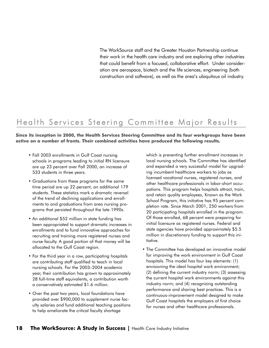The WorkSource staff and the Greater Houston Partnership continue their work in the health care industry and are exploring other industries that could benefit from a focused, collaborative effort. Under consideration are aerospace, biotech and the life sciences, engineering (both construction and software), as well as the area's ubiquitous oil industry.

### Health Services Steering Committee Major Results

**Since its inception in 2000, the Health Services Steering Committee and its four workgroups have been active on a number of fronts. Their combined activities have produced the following results.**

- Fall 2003 enrollments in Gulf Coast nursing schools in programs leading to initial RN licensure are up 23 percent over Fall 2000, an increase of 533 students in three years.
- Graduations from these programs for the same time period are up 22 percent, an additional 179 students. These statistics mark a dramatic reversal of the trend of declining applications and enrollments to and graduations from area nursing programs that persisted throughout the late 1990s.
- An additional \$52 million in state funding has been appropriated to support dramatic increases in enrollments and to fund innovative approaches for recruiting and training more registered nurses and nurse faculty. A good portion of that money will be allocated to the Gulf Coast region.
- For the third year in a row, participating hospitals are contributing staff qualified to teach in local nursing schools. For the 2003–2004 academic year, their contribution has grown to approximately 28 full-time staff equivalents, a contribution worth a conservatively estimated \$1.6 million.
- Over the past two years, local foundations have provided over \$900,000 to supplement nurse faculty salaries and fund additional teaching positions to help ameliorate the critical faculty shortage

which is preventing further enrollment increases in local nursing schools. The Committee has identified and expanded a very successful model for upgrading incumbent healthcare workers to jobs as licensed vocational nurses, registered nurses, and other healthcare professionals in labor-short occupations. This program helps hospitals attract, train, and retain quality employees, Known as the Work School Program, this initiative has 95 percent completion rate. Since March 2001, 250 workers from 20 participating hospitals enrolled in the program. Of those enrolled, 68 percent were preparing for initial licensure as registered nurses. Federal and state agencies have provided approximately \$5.5 million in discretionary funding to support this initiative.

• The Committee has developed an innovative model for improving the work environment in Gulf Coast hospitals. This model has four key elements: (1) envisioning the ideal hospital work environment; (2) defining the current industry norm; (3) assessing the current hospital work environments against this industry norm; and (4) recognizing outstanding performance and sharing best practices. This is a continuous-improvement model designed to make Gulf Coast hospitals the employers of first choice for nurses and other healthcare professionals.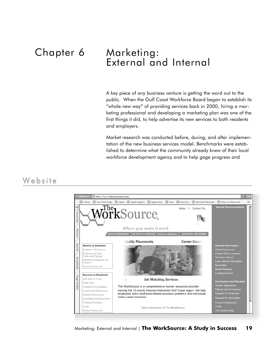## Chapter 6

### Marketing: External and Internal

A key piece of any business venture is getting the word out to the public. When the Gulf Coast Workforce Board began to establish its "whole new way" of providing services back in 2000, hiring a marketing professional and developing a marketing plan was one of the first things it did, to help advertise its new services to both residents and employers.

Market research was conducted before, during, and after implementation of the new business services model. Benchmarks were established to determine what the community already knew of their local workforce development agency and to help gage progress and

### We b s it e

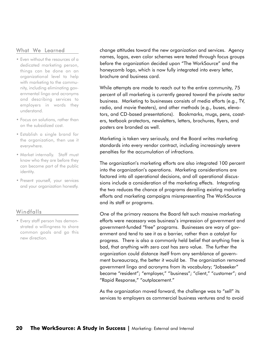#### What We Learned

- Even without the resources of a dedicated marketing person, things can be done on an organizational level to help with marketing to the community, including eliminating governmental lingo and acronyms and describing services to employers in words they understand.
- Focus on solutions, rather than on the subsidized cost.
- Establish a single brand for the organization, then use it everywhere.
- Market internally. Staff must know who they are before they can become part of the public identity.
- Present yourself, your services and your organization honestly.

#### Windfalls

• Every staff person has demonstrated a willingness to share common goals and go this new direction.

change attitudes toward the new organization and services. Agency names, logos, even color schemes were tested through focus groups before the organization decided upon "The WorkSource" and the honeycomb logo, which is now fully integrated into every letter, brochure and business card.

While attempts are made to reach out to the entire community, 75 percent of all marketing is currently geared toward the private sector business. Marketing to businesses consists of media efforts (e.g., TV, radio, and movie theaters), and other methods (e.g., buses, elevators, and CD-based presentations). Bookmarks, mugs, pens, coasters, textbook protectors, newsletters, letters, brochures, flyers, and posters are branded as well.

Marketing is taken very seriously, and the Board writes marketing standards into every vendor contract, including increasingly severe penalties for the accumulation of infractions.

The organization's marketing efforts are also integrated 100 percent into the organization's operations. Marketing considerations are factored into all operational decisions, and all operational discussions include a consideration of the marketing effects. Integrating the two reduces the chance of programs derailing existing marketing efforts and marketing campaigns misrepresenting The WorkSource and its staff or programs.

One of the primary reasons the Board felt such massive marketing efforts were necessary was business's impression of government and government-funded "free" programs. Businesses are wary of government and tend to see it as a barrier, rather than a catalyst for progress. There is also a commonly held belief that anything free is bad, that anything with zero cost has zero value. The further the organization could distance itself from any semblance of government bureaucracy, the better it would be. The organization removed government lingo and acronyms from its vocabulary; "Jobseeker" became "resident"; "employer," "business"; "client," "customer"; and "Rapid Response," "outplacement."

As the organization moved forward, the challenge was to "sell" its services to employers as commercial business ventures and to avoid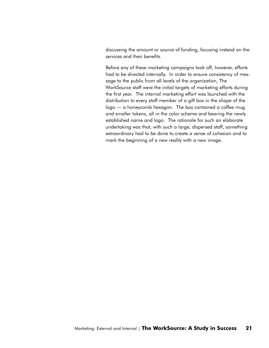discussing the amount or source of funding, focusing instead on the services and their benefits.

Before any of these marketing campaigns took off, however, efforts had to be directed internally. In order to ensure consistency of message to the public from all levels of the organization, The WorkSource staff were the initial targets of marketing efforts during the first year. The internal marketing effort was launched with the distribution to every staff member of a gift box in the shape of the logo — a honeycomb hexagon. The box contained a coffee mug and smaller tokens, all in the color scheme and bearing the newly established name and logo. The rationale for such an elaborate undertaking was that, with such a large, dispersed staff, something extraordinary had to be done to create a sense of cohesion and to mark the beginning of a new reality with a new image.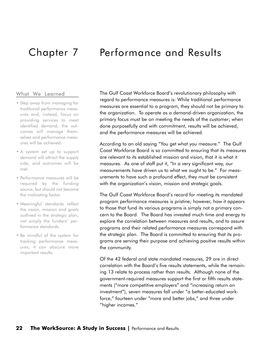### Chapter 7 Performance and Results

#### What We Learned

- Step away from managing for traditional performance measures and, instead, focus on providing services to meet identified demand; the outcomes will manage themselves and performance measures will be achieved.
- A system set up to support demand will attract the supply side, and outcomes will be met.
- Performance measures will be required by the funding source, but should not become the motivating factor.
- Meaningful standards reflect the vision, mission and goals outlined in the strategic plan; not simply the funders' performance standards.
- Be mindful of the system for tracking performance measures; it can obscure more important results.

The Gulf Coast Workforce Board's revolutionary philosophy with regard to performance measures is: While traditional performance measures are essential to a program, they should not be primary to the organization. To operate as a demand-driven organization, the primary focus must be on meeting the needs of the customer; when done purposefully and with commitment, results will be achieved, and the performance measures will be achieved.

According to an old saying "You get what you measure." The Gulf Coast Workforce Board is so committed to ensuring that its measures are relevant to its established mission and vision, that it is what it measures. As one of staff put it, "In a very significant way, our measurements have driven us to what we ought to be." For measurements to have such a profound effect, they must be consistent with the organization's vision, mission and strategic goals.

The Gulf Coast Workforce Board's record for meeting its mandated program performance measures is pristine; however, how it appears to those that fund its various programs is simply not a primary concern to the Board. The Board has invested much time and energy to explore the correlation between measures and results, and to assure programs and their related performance measures correspond with the strategic plan. The Board is committed to ensuring that its programs are serving their purpose and achieving positive results within the community.

Of the 42 federal and state mandated measures, 29 are in direct correlation with the Board's five results statements, while the remaining 13 relate to process rather than results. Although none of the government-required measures support the first or fifth results statements ("more competitive employers" and "increasing return on investment"), seven measures fall under "a better-educated workforce," fourteen under "more and better jobs," and three under "higher incomes."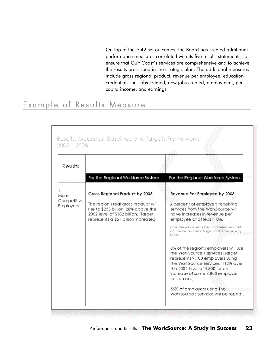On top of these 42 set outcomes, the Board has created additional performance measures correlated with its five results statements, to ensure that Gulf Coast's services are comprehensive and to achieve the results prescribed in the strategic plan. The additional measures include gross regional product, revenue per employee, education credentials, net jobs created, new jobs created, employment, per capita income, and earnings.

### Example of Results Measure

|                          | $2003 - 2008$                                                                                                                                                |                                                                                                                                                                                                                                          |
|--------------------------|--------------------------------------------------------------------------------------------------------------------------------------------------------------|------------------------------------------------------------------------------------------------------------------------------------------------------------------------------------------------------------------------------------------|
| Results                  |                                                                                                                                                              |                                                                                                                                                                                                                                          |
|                          | For the Regional Workforce System                                                                                                                            | For the Regional Workforce System                                                                                                                                                                                                        |
| ı.<br>More               | Gross Regional Product by 2008                                                                                                                               | Revenue Per Employee by 2008                                                                                                                                                                                                             |
| Competitive<br>Employers | The region's real gross product will<br>rise to \$233 billion, 28% above the<br>2002 level of \$182 billion. (Target<br>represents a \$51 billion increase.) | x percent of employers receiving<br>services from the WorkSource will<br>have increases in revenue per<br>employee of at least 10%.                                                                                                      |
|                          |                                                                                                                                                              | note: We will develop the parameters, establish<br>a baseline, and set a target for this measure by.<br>06/04.                                                                                                                           |
|                          |                                                                                                                                                              | 8% of the region's employers will use<br>the WorkSource's services (Target<br>represents 9,100 employers using<br>the WorkSource services, 112% over<br>the 2002 level of 4,300, or an<br>increase of some 4,800 employer<br>customers.) |
|                          |                                                                                                                                                              | 55% of employers using The<br>Worksource's services will be repeat.                                                                                                                                                                      |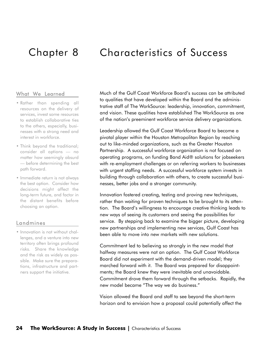### Chapter 8 Characteristics of Success

#### What We Learned

- Rather than spending all resources on the delivery of services, invest some resources to establish collaborative ties to the others, especially, businesses with a strong need and interest in workforce.
- Think beyond the traditional: consider all options — no matter how seemingly absurd — before determining the best path forward.
- Immediate return is not always the best option. Consider how decisions might affect the long-term future, and factor in the distant benefits before choosing an option.

#### Landmines

• Innovation is not without challenges, and a venture into new territory often brings profound risks. Share the knowledge and the risk as widely as possible. Make sure the preparations, infrastructure and partners support the initiative.

Much of the Gulf Coast Workforce Board's success can be attributed to qualities that have developed within the Board and the administrative staff of The WorkSource: leadership, innovation, commitment, and vision. These qualities have established The WorkSource as one of the nation's preeminent workforce service delivery organizations.

Leadership allowed the Gulf Coast Workforce Board to become a pivotal player within the Houston Metropolitan Region by reaching out to like-minded organizations, such as the Greater Houston Partnership. A successful workforce organization is not focused on operating programs, on funding Band Aid® solutions for jobseekers with re-employment challenges or on referring workers to businesses with urgent staffing needs. A successful workforce system invests in building through collaboration with others, to create successful businesses, better jobs and a stronger community.

Innovation fostered creating, testing and proving new techniques, rather than waiting for proven techniques to be brought to its attention. The Board's willingness to encourage creative thinking leads to new ways of seeing its customers and seeing the possibilities for service. By stepping back to examine the bigger picture, developing new partnerships and implementing new services, Gulf Coast has been able to move into new markets with new solutions.

Commitment led to believing so strongly in the new model that halfway measures were not an option. The Gulf Coast Workforce Board did not experiment with the demand-driven model; they marched forward with it. The Board was prepared for disappointments; the Board knew they were inevitable and unavoidable. Commitment drove them forward through the setbacks. Rapidly, the new model became "The way we do business."

Vision allowed the Board and staff to see beyond the short-term horizon and to envision how a proposal could potentially affect the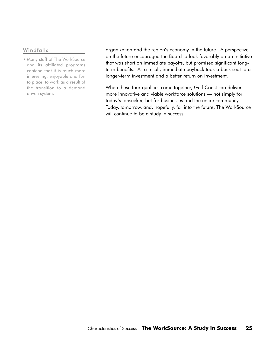#### Windfalls

• Many staff of The WorkSource and its affiliated programs contend that it is much more interesting, enjoyable and fun to place to work as a result of the transition to a demand driven system.

organization and the region's economy in the future. A perspective on the future encouraged the Board to look favorably on an initiative that was short on immediate payoffs, but promised significant longterm benefits. As a result, immediate payback took a back seat to a longer-term investment and a better return on investment.

When these four qualities come together, Gulf Coast can deliver more innovative and viable workforce solutions — not simply for today's jobseeker, but for businesses and the entire community. Today, tomorrow, and, hopefully, far into the future, The WorkSource will continue to be a study in success.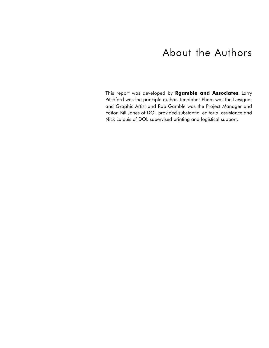### About the Authors

This report was developed by **Rgamble and Associates**. Larry Pitchford was the principle author, Jennipher Pham was the Designer and Graphic Artist and Rob Gamble was the Project Manager and Editor. Bill Janes of DOL provided substantial editorial assistance and Nick Lalpuis of DOL supervised printing and logistical support.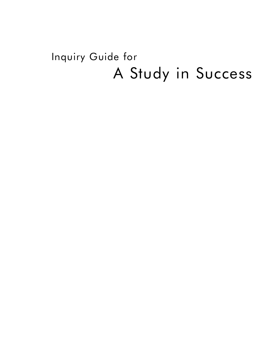# Inquiry Guide for A Study in Success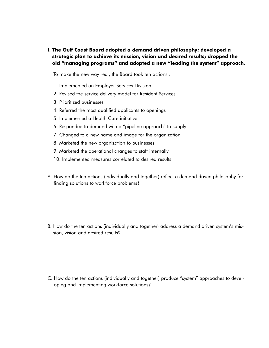**I. The Gulf Coast Board adopted a demand driven philosophy; developed a strategic plan to achieve its mission, vision and desired results; dropped the old "managing programs" and adopted a new "leading the system" approach.** 

To make the new way real, the Board took ten actions :

- 1. Implemented an Employer Services Division
- 2. Revised the service delivery model for Resident Services
- 3. Prioritized businesses
- 4. Referred the most qualified applicants to openings
- 5. Implemented a Health Care initiative
- 6. Responded to demand with a "pipeline approach" to supply
- 7. Changed to a new name and image for the organization
- 8. Marketed the new organization to businesses
- 9. Marketed the operational changes to staff internally
- 10. Implemented measures correlated to desired results
- A. How do the ten actions (individually and together) reflect a demand driven philosophy for finding solutions to workforce problems?

B. How do the ten actions (individually and together) address a demand driven system's mission, vision and desired results?

C. How do the ten actions (individually and together) produce "system" approaches to developing and implementing workforce solutions?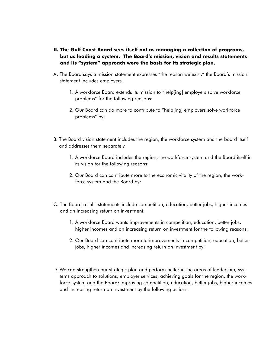- **II. The Gulf Coast Board sees itself not as managing a collection of programs, but as leading a system. The Board's mission, vision and results statements and its "system" approach were the basis for its strategic plan.**
- A. The Board says a mission statement expresses "the reason we exist;" the Board's mission statement includes employers.
	- 1. A workforce Board extends its mission to "help[ing] employers solve workforce problems" for the following reasons:
	- 2. Our Board can do more to contribute to "help[ing] employers solve workforce problems" by:
- B. The Board vision statement includes the region, the workforce system and the board itself and addresses them separately.
	- 1. A workforce Board includes the region, the workforce system and the Board itself in its vision for the following reasons:
	- 2. Our Board can contribute more to the economic vitality of the region, the workforce system and the Board by:
- C. The Board results statements include competition, education, better jobs, higher incomes and an increasing return on investment.
	- 1. A workforce Board wants improvements in competition, education, better jobs, higher incomes and an increasing return on investment for the following reasons:
	- 2. Our Board can contribute more to improvements in competition, education, better jobs, higher incomes and increasing return on investment by:
- D. We can strengthen our strategic plan and perform better in the areas of leadership; systems approach to solutions; employer services; achieving goals for the region, the workforce system and the Board; improving competition, education, better jobs, higher incomes and increasing return on investment by the following actions: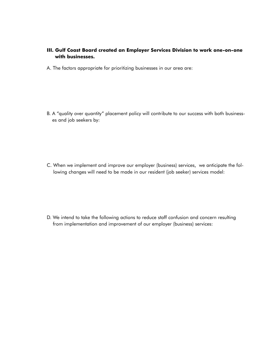#### **III. Gulf Coast Board created an Employer Services Division to work one-on-one with businesses.**

A. The factors appropriate for prioritizing businesses in our area are:

B. A "quality over quantity" placement policy will contribute to our success with both businesses and job seekers by:

C. When we implement and improve our employer (business) services, we anticipate the following changes will need to be made in our resident (job seeker) services model:

D. We intend to take the following actions to reduce staff confusion and concern resulting from implementation and improvement of our employer (business) services: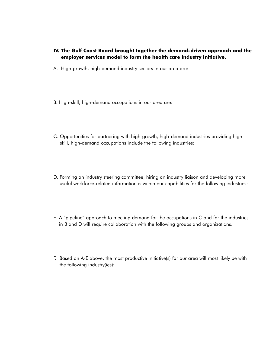#### **IV. The Gulf Coast Board brought together the demand-driven approach and the employer services model to form the health care industry initiative.**

- A. High-growth, high-demand industry sectors in our area are:
- B. High-skill, high-demand occupations in our area are:
- C. Opportunities for partnering with high-growth, high-demand industries providing highskill, high-demand occupations include the following industries:
- D. Forming an industry steering committee, hiring an industry liaison and developing more useful workforce-related information is within our capabilities for the following industries:
- E. A "pipeline" approach to meeting demand for the occupations in C and for the industries in B and D will require collaboration with the following groups and organizations:
- F. Based on A-E above, the most productive initiative(s) for our area will most likely be with the following industry(ies):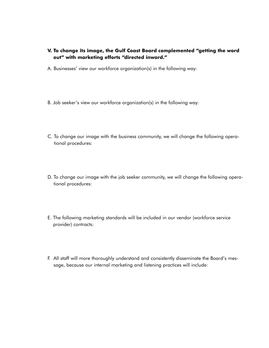- **V. To change its image, the Gulf Coast Board complemented "getting the word out" with marketing efforts "directed inward."**
- A. Businesses' view our workforce organization(s) in the following way:
- B. Job seeker's view our workforce organization(s) in the following way:
- C. To change our image with the business community, we will change the following operational procedures:
- D. To change our image with the job seeker community, we will change the following operational procedures:
- E. The following marketing standards will be included in our vendor (workforce service provider) contracts:
- F. All staff will more thoroughly understand and consistently disseminate the Board's message, because our internal marketing and listening practices will include: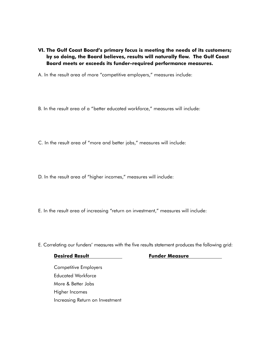**VI. The Gulf Coast Board's primary focus is meeting the needs of its customers; by so doing, the Board believes, results will naturally flow. The Gulf Coast Board meets or exceeds its funder-required performance measures.** 

A. In the result area of more "competitive employers," measures include:

- B. In the result area of a "better educated workforce," measures will include:
- C. In the result area of "more and better jobs," measures will include:
- D. In the result area of "higher incomes," measures will include:
- E. In the result area of increasing "return on investment," measures will include:

E. Correlating our funders' measures with the five results statement produces the following grid:

#### **Desired Result Funder Measure**

Competitive Employers Educated Workforce More & Better Jobs Higher Incomes Increasing Return on Investment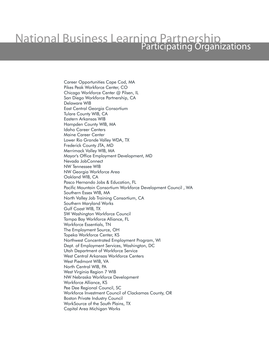# **National Business Learning Partnership**<br>Participating Organizations

Career Opportunities Cape Cod, MA Pikes Peak Workforce Center, CO Chicago Workforce Center @ Pilsen, IL San Diego Workforce Partnership, CA Delaware WIB East Central Georgia Consortium Tulare County WIB, CA Eastern Arkansas WIB Hampden County WIB, MA Idaho Career Centers Maine Career Center Lower Rio Grande Valley WDA, TX Frederick County JTA, MD Merrimack Valley WIB, MA Mayor's Office Employment Development, MD Nevada JobConnect NW Tennessee WIB NW Georgia Workforce Area Oakland WIB, CA Pasco Hernando Jobs & Education, FL Pacific Mountain Consortium Workforce Development Council , WA Southern Essex WIB, MA North Valley Job Training Consortium, CA Southern Maryland Works Gulf Coast WIB, TX SW Washington Workforce Council Tampa Bay Workforce Alliance, FL Workforce Essentials, TN The Employment Source, OH Topeka Workforce Center, KS Northwest Concentrated Employment Program, WI Dept. of Employment Services, Washington, DC Utah Department of Workforce Service West Central Arkansas Workforce Centers West Piedmont WIB, VA North Central WIB, PA West Virginia Region 7 WIB NW Nebraska Workforce Development Workforce Alliance, KS Pee Dee Regional Council, SC Workforce Investment Council of Clackamas County, OR Boston Private Industry Council WorkSource of the South Plains, TX Capital Area Michigan Works